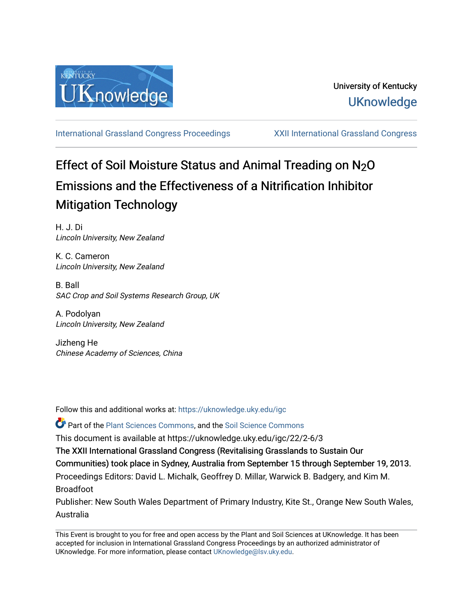

[International Grassland Congress Proceedings](https://uknowledge.uky.edu/igc) [XXII International Grassland Congress](https://uknowledge.uky.edu/igc/22) 

# Effect of Soil Moisture Status and Animal Treading on N<sub>2</sub>O Emissions and the Effectiveness of a Nitrification Inhibitor Mitigation Technology

H. J. Di Lincoln University, New Zealand

K. C. Cameron Lincoln University, New Zealand

B. Ball SAC Crop and Soil Systems Research Group, UK

A. Podolyan Lincoln University, New Zealand

Jizheng He Chinese Academy of Sciences, China

Follow this and additional works at: [https://uknowledge.uky.edu/igc](https://uknowledge.uky.edu/igc?utm_source=uknowledge.uky.edu%2Figc%2F22%2F2-6%2F3&utm_medium=PDF&utm_campaign=PDFCoverPages) 

Part of the [Plant Sciences Commons](http://network.bepress.com/hgg/discipline/102?utm_source=uknowledge.uky.edu%2Figc%2F22%2F2-6%2F3&utm_medium=PDF&utm_campaign=PDFCoverPages), and the [Soil Science Commons](http://network.bepress.com/hgg/discipline/163?utm_source=uknowledge.uky.edu%2Figc%2F22%2F2-6%2F3&utm_medium=PDF&utm_campaign=PDFCoverPages) 

This document is available at https://uknowledge.uky.edu/igc/22/2-6/3

The XXII International Grassland Congress (Revitalising Grasslands to Sustain Our

Communities) took place in Sydney, Australia from September 15 through September 19, 2013.

Proceedings Editors: David L. Michalk, Geoffrey D. Millar, Warwick B. Badgery, and Kim M. Broadfoot

Publisher: New South Wales Department of Primary Industry, Kite St., Orange New South Wales, Australia

This Event is brought to you for free and open access by the Plant and Soil Sciences at UKnowledge. It has been accepted for inclusion in International Grassland Congress Proceedings by an authorized administrator of UKnowledge. For more information, please contact [UKnowledge@lsv.uky.edu](mailto:UKnowledge@lsv.uky.edu).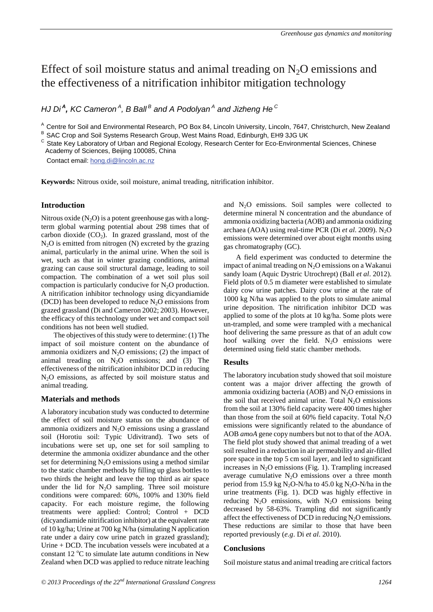# Effect of soil moisture status and animal treading on  $N_2O$  emissions and the effectiveness of a nitrification inhibitor mitigation technology

*HJ Di <sup>A</sup> , KC Cameron A, B Ball B and A Podolyan<sup>A</sup> and Jizheng He C*

<sup>A</sup> Centre for Soil and Environmental Research, PO Box 84, Lincoln University, Lincoln, 7647, Christchurch, New Zealand

B SAC Crop and Soil Systems Research Group, West Mains Road, Edinburgh, EH9 3JG UK

<sup>C</sup> State Kev Laboratory of Urban and Regional Ecology, Research Center for Eco-Environmental Sciences, Chinese Academy of Sciences, Beijing 100085, China

Contact email: hong.di@lincoln.ac.nz

**Keywords:** Nitrous oxide, soil moisture, animal treading, nitrification inhibitor.

## **Introduction**

Nitrous oxide  $(N_2O)$  is a potent greenhouse gas with a longterm global warming potential about 298 times that of carbon dioxide  $(CO<sub>2</sub>)$ . In grazed grassland, most of the  $N<sub>2</sub>O$  is emitted from nitrogen (N) excreted by the grazing animal, particularly in the animal urine. When the soil is wet, such as that in winter grazing conditions, animal grazing can cause soil structural damage, leading to soil compaction. The combination of a wet soil plus soil compaction is particularly conducive for  $N<sub>2</sub>O$  production. A nitrification inhibitor technology using dicyandiamide (DCD) has been developed to reduce  $N_2O$  emissions from grazed grassland (Di and Cameron 2002; 2003). However, the efficacy of this technology under wet and compact soil conditions has not been well studied.

The objectives of this study were to determine: (1) The impact of soil moisture content on the abundance of ammonia oxidizers and  $N_2O$  emissions; (2) the impact of animal treading on  $N_2O$  emissions; and (3) The effectiveness of the nitrification inhibitor DCD in reducing N<sub>2</sub>O emissions, as affected by soil moisture status and animal treading.

# **Materials and methods**

A laboratory incubation study was conducted to determine the effect of soil moisture status on the abundance of ammonia oxidizers and  $N<sub>2</sub>O$  emissions using a grassland soil (Horotiu soil: Typic Udivitrand). Two sets of incubations were set up, one set for soil sampling to determine the ammonia oxidizer abundance and the other set for determining  $N_2O$  emissions using a method similar to the static chamber methods by filling up glass bottles to two thirds the height and leave the top third as air space under the lid for  $N_2O$  sampling. Three soil moisture conditions were compared: 60%, 100% and 130% field capacity. For each moisture regime, the following treatments were applied: Control; Control + DCD (dicyandiamide nitrification inhibitor) at the equivalent rate of 10 kg/ha; Urine at 700 kg N/ha (simulating N application rate under a dairy cow urine patch in grazed grassland); Urine + DCD. The incubation vessels were incubated at a constant 12  $\mathrm{°C}$  to simulate late autumn conditions in New Zealand when DCD was applied to reduce nitrate leaching

and  $N_2O$  emissions. Soil samples were collected to determine mineral N concentration and the abundance of ammonia oxidizing bacteria (AOB) and ammonia oxidizing archaea (AOA) using real-time PCR (Di *et al.* 2009). N<sub>2</sub>O emissions were determined over about eight months using gas chromatography (GC).

A field experiment was conducted to determine the impact of animal treading on  $N<sub>2</sub>O$  emissions on a Wakanui sandy loam (Aquic Dystric Utrochrept) (Ball *et al*. 2012). Field plots of 0.5 m diameter were established to simulate dairy cow urine patches. Dairy cow urine at the rate of 1000 kg N/ha was applied to the plots to simulate animal urine deposition. The nitrification inhibitor DCD was applied to some of the plots at 10 kg/ha. Some plots were un-trampled, and some were trampled with a mechanical hoof delivering the same pressure as that of an adult cow hoof walking over the field.  $N_2O$  emissions were determined using field static chamber methods.

#### **Results**

The laboratory incubation study showed that soil moisture content was a major driver affecting the growth of ammonia oxidizing bacteria (AOB) and  $N_2O$  emissions in the soil that received animal urine. Total  $N<sub>2</sub>O$  emissions from the soil at 130% field capacity were 400 times higher than those from the soil at 60% field capacity. Total  $N_2O$ emissions were significantly related to the abundance of AOB *amoA* gene copy numbers but not to that of the AOA. The field plot study showed that animal treading of a wet soil resulted in a reduction in air permeability and air-filled pore space in the top 5 cm soil layer, and led to significant increases in  $N<sub>2</sub>O$  emissions (Fig. 1). Trampling increased average cumulative  $N_2O$  emissions over a three month period from 15.9 kg  $N_2O-N/ha$  to 45.0 kg  $N_2O-N/ha$  in the urine treatments (Fig. 1). DCD was highly effective in reducing  $N_2O$  emissions, with  $N_2O$  emissions being decreased by 58-63%. Trampling did not significantly affect the effectiveness of DCD in reducing  $N<sub>2</sub>O$  emissions. These reductions are similar to those that have been reported previously (*e.g*. Di *et al*. 2010).

#### **Conclusions**

Soil moisture status and animal treading are critical factors